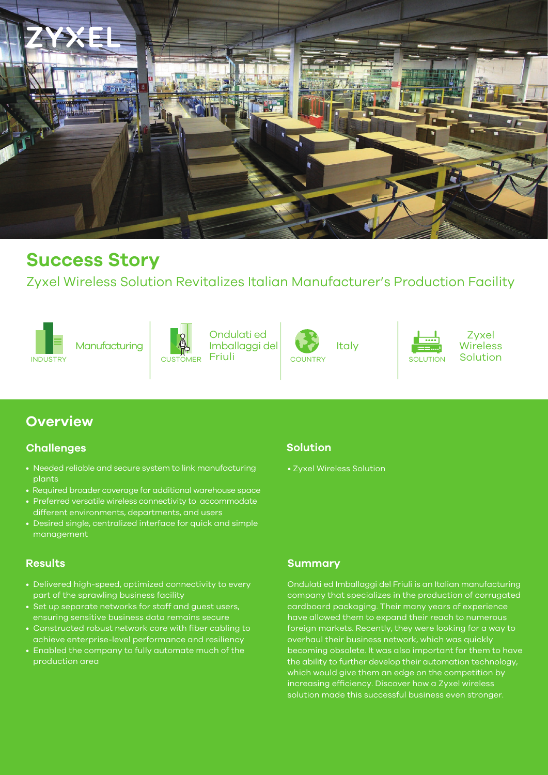

# **Success Story**

Zyxel Wireless Solution Revitalizes Italian Manufacturer's Production Facility





INDUSTRY SOLUTION CUSTOMER Friuli COUNTRY SOLUTION SOLUTION Ondulati ed Imballaggi del CUSTOMER Friuli COUNTRY SOLUTION



Italy



Zyxel Wireless

# **Overview**

#### **Challenges**

- Needed reliable and secure system to link manufacturing plants
- Required broader coverage for additional warehouse space
- Preferred versatile wireless connectivity to accommodate different environments, departments, and users
- Desired single, centralized interface for quick and simple management

- Delivered high-speed, optimized connectivity to every part of the sprawling business facility
- Set up separate networks for staff and guest users, ensuring sensitive business data remains secure
- Constructed robust network core with fiber cabling to achieve enterprise-level performance and resiliency
- Enabled the company to fully automate much of the production area

### **Solution**

• Zyxel Wireless Solution

#### **Results Summary**

Ondulati ed Imballaggi del Friuli is an Italian manufacturing company that specializes in the production of corrugated cardboard packaging. Their many years of experience have allowed them to expand their reach to numerous foreign markets. Recently, they were looking for a way to overhaul their business network, which was quickly becoming obsolete. It was also important for them to have the ability to further develop their automation technology, which would give them an edge on the competition by increasing efficiency. Discover how a Zyxel wireless solution made this successful business even stronger.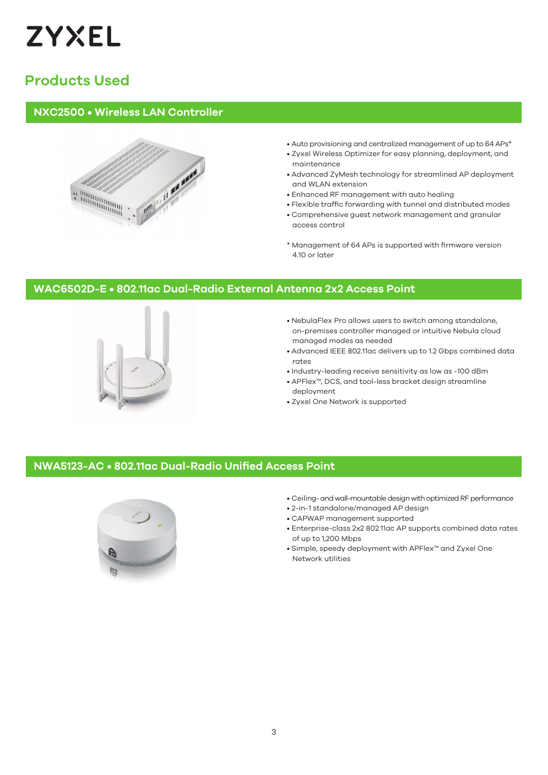

# **Products Used**

#### **NXC2500 • Wireless LAN Controller**



- Auto provisioning and centralized management of up to 64 APs\*
- Zyxel Wireless Optimizer for easy planning, deployment, and maintenance
- Advanced ZyMesh technology for streamlined AP deployment and WLAN extension
- Enhanced RF management with auto healing
- Flexible traffic forwarding with tunnel and distributed modes
- Comprehensive guest network management and granular access control
- \* Management of 64 APs is supported with firmware version 4.10 or later

#### **WAC6502D-E • 802.11ac Dual-Radio External Antenna 2x2 Access Point**



- NebulaFlex Pro allows users to switch among standalone, on-premises controller managed or intuitive Nebula cloud managed modes as needed
- Advanced IEEE 802.11ac delivers up to 1.2 Gbps combined data rates
- Industry-leading receive sensitivity as low as -100 dBm
- APFlex™, DCS, and tool-less bracket design streamline deployment
- Zyxel One Network is supported

#### **NWA5123-AC • 802.11ac Dual-Radio Unified Access Point**



- Ceiling- and wall-mountable design with optimized RF performance
- 2-in-1 standalone/managed AP design
- CAPWAP management supported
- Enterprise-class 2x2 802.11ac AP supports combined data rates of up to 1,200 Mbps
- Simple, speedy deployment with APFlex™ and Zyxel One Network utilities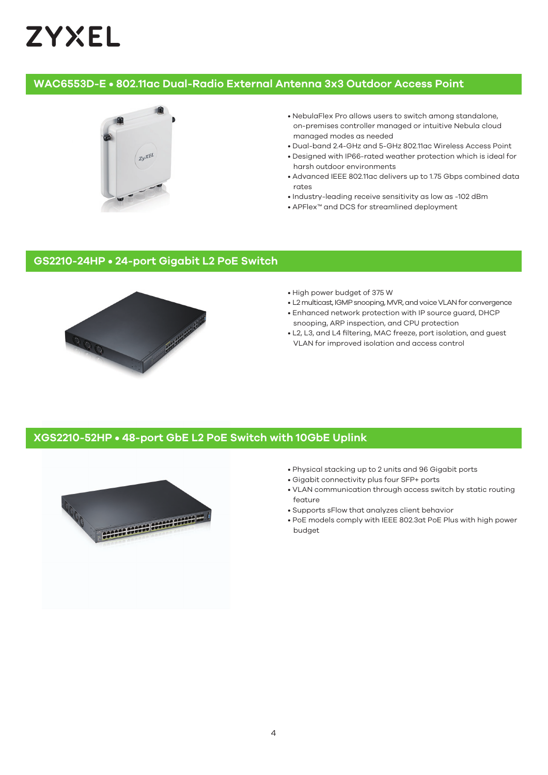# **ZYXEL**

#### **WAC6553D-E • 802.11ac Dual-Radio External Antenna 3x3 Outdoor Access Point**



- NebulaFlex Pro allows users to switch among standalone, on-premises controller managed or intuitive Nebula cloud managed modes as needed
- Dual-band 2.4-GHz and 5-GHz 802.11ac Wireless Access Point
- Designed with IP66-rated weather protection which is ideal for harsh outdoor environments
- Advanced IEEE 802.11ac delivers up to 1.75 Gbps combined data rates
- Industry-leading receive sensitivity as low as -102 dBm
- APFlex™ and DCS for streamlined deployment

## **GS2210-24HP • 24-port Gigabit L2 PoE Switch**



- High power budget of 375 W
- L2 multicast, IGMP snooping, MVR, and voice VLAN for convergence
- Enhanced network protection with IP source guard, DHCP snooping, ARP inspection, and CPU protection
- L2, L3, and L4 filtering, MAC freeze, port isolation, and guest VLAN for improved isolation and access control

#### **XGS2210-52HP • 48-port GbE L2 PoE Switch with 10GbE Uplink**



- Physical stacking up to 2 units and 96 Gigabit ports
- Gigabit connectivity plus four SFP+ ports
- VLAN communication through access switch by static routing feature
- Supports sFlow that analyzes client behavior
- PoE models comply with IEEE 802.3at PoE Plus with high power budget